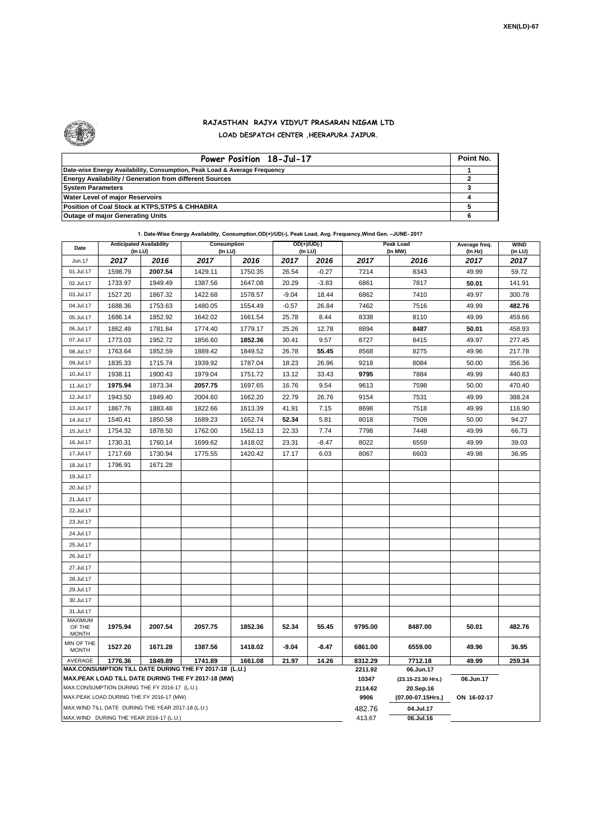

.

## **RAJASTHAN RAJYA VIDYUT PRASARAN NIGAM LTD LOAD DESPATCH CENTER ,HEERAPURA JAIPUR.**

| Power Position 18-Jul-17                                                  | Point No. |
|---------------------------------------------------------------------------|-----------|
| Date-wise Energy Availability, Consumption, Peak Load & Average Frequency |           |
| <b>Energy Availability / Generation from different Sources</b>            |           |
| <b>System Parameters</b>                                                  |           |
| <b>Water Level of major Reservoirs</b>                                    |           |
| Position of Coal Stock at KTPS, STPS & CHHABRA                            |           |
| <b>Outage of major Generating Units</b>                                   |           |

| 1. Date-Wise Energy Availability, Consumption, OD(+)/UD(-), Peak Load, Avg. Frequency, Wind Gen. -JUNE- 2017 |  |  |  |
|--------------------------------------------------------------------------------------------------------------|--|--|--|
|--------------------------------------------------------------------------------------------------------------|--|--|--|

| Date                                                                                                         | (In LU)                                           | <b>Anticipated Availability</b> | Consumption<br>(In LU) |         | $OD(+)/UD(-)$<br>(In LU) |                  |                                 | Peak Load<br>(In MW) | Average freq.<br>(In Hz) | <b>WIND</b><br>(in LU) |  |  |
|--------------------------------------------------------------------------------------------------------------|---------------------------------------------------|---------------------------------|------------------------|---------|--------------------------|------------------|---------------------------------|----------------------|--------------------------|------------------------|--|--|
| Jun.17                                                                                                       | 2017                                              | 2016                            | 2017                   | 2016    | 2017                     | 2016             | 2017                            | 2016                 | 2017                     | 2017                   |  |  |
| 01.Jul.17                                                                                                    | 1598.79                                           | 2007.54                         | 1429.11                | 1750.35 | 26.54                    | $-0.27$          | 7214                            | 8343                 | 49.99                    | 59.72                  |  |  |
| 02.Jul.17                                                                                                    | 1733.97                                           | 1949.49                         | 1387.56                | 1647.08 | 20.29                    | $-3.83$          | 6861                            | 7817                 | 50.01                    | 141.91                 |  |  |
| 03.Jul.17                                                                                                    | 1527.20                                           | 1867.32                         | 1422.68                | 1578.57 | $-9.04$                  | 18.44            | 6862                            | 7410                 | 49.97                    | 300.78                 |  |  |
| 04.Jul.17                                                                                                    | 1688.36                                           | 1753.63                         | 1480.05                | 1554.49 | $-0.57$                  | 26.84            | 7462                            | 7516                 | 49.99                    | 482.76                 |  |  |
| 05.Jul.17                                                                                                    | 1686.14                                           | 1852.92                         | 1642.02                | 1661.54 | 25.78                    | 8.44             | 8338                            | 8110                 | 49.99                    | 459.66                 |  |  |
| 06.Jul.17                                                                                                    | 1862.49                                           | 1781.84                         | 1774.40                | 1779.17 | 25.26                    | 12.78            | 8894                            | 8487                 | 50.01                    | 458.93                 |  |  |
| 07.Jul.17                                                                                                    | 1773.03                                           | 1952.72                         | 1856.60                | 1852.36 | 30.41                    | 9.57             | 8727                            | 8415                 | 49.97                    | 277.45                 |  |  |
| 08.Jul.17                                                                                                    | 1763.64                                           | 1852.59                         | 1889.42                | 1849.52 | 26.78                    | 55.45            | 8568                            | 8275                 | 49.96                    | 217.78                 |  |  |
| 09.Jul.17                                                                                                    | 1835.33                                           | 1715.74                         | 1939.92                | 1787.04 | 18.23                    | 26.96            | 9218                            | 8084                 | 50.00                    | 356.36                 |  |  |
| 10.Jul.17                                                                                                    | 1938.11                                           | 1900.43                         | 1979.04                | 1751.72 | 13.12                    | 33.43            | 9795                            | 7884                 | 49.99                    | 440.83                 |  |  |
| 11.Jul.17                                                                                                    | 1975.94                                           | 1873.34                         | 2057.75                | 1697.65 | 16.76                    | 9.54             | 9613                            | 7598                 | 50.00                    | 470.40                 |  |  |
| 12.Jul.17                                                                                                    | 1943.50                                           | 1849.40                         | 2004.60                | 1662.20 | 22.79                    | 26.76            | 9154                            | 7531                 | 49.99                    | 388.24                 |  |  |
| 13.Jul.17                                                                                                    | 1867.76                                           | 1883.48                         | 1822.66                | 1613.39 | 41.91                    | 7.15             | 8698                            | 7518                 | 49.99                    | 116.90                 |  |  |
| 14.Jul.17                                                                                                    | 1540.41                                           | 1850.58                         | 1689.23                | 1652.74 | 52.34                    | 5.81             | 8018                            | 7509                 | 50.00                    | 94.27                  |  |  |
| 15.Jul.17                                                                                                    | 1754.32                                           | 1878.50                         | 1762.00                | 1562.13 | 22.33                    | 7.74             | 7798                            | 7448                 | 49.99                    | 66.73                  |  |  |
| 16.Jul.17                                                                                                    | 1730.31                                           | 1760.14                         | 1699.62                | 1418.02 | 23.31                    | $-8.47$          | 8022                            | 6559                 | 49.99                    | 39.03                  |  |  |
| 17.Jul.17                                                                                                    | 1717.69                                           | 1730.94                         | 1775.55                | 1420.42 | 17.17                    | 6.03             | 8067                            | 6603                 | 49.98                    | 36.95                  |  |  |
| 18.Jul.17                                                                                                    | 1796.91                                           | 1671.28                         |                        |         |                          |                  |                                 |                      |                          |                        |  |  |
| 19.Jul.17                                                                                                    |                                                   |                                 |                        |         |                          |                  |                                 |                      |                          |                        |  |  |
| 20.Jul.17                                                                                                    |                                                   |                                 |                        |         |                          |                  |                                 |                      |                          |                        |  |  |
| 21.Jul.17                                                                                                    |                                                   |                                 |                        |         |                          |                  |                                 |                      |                          |                        |  |  |
| 22.Jul.17                                                                                                    |                                                   |                                 |                        |         |                          |                  |                                 |                      |                          |                        |  |  |
| 23.Jul.17                                                                                                    |                                                   |                                 |                        |         |                          |                  |                                 |                      |                          |                        |  |  |
| 24.Jul.17                                                                                                    |                                                   |                                 |                        |         |                          |                  |                                 |                      |                          |                        |  |  |
| 25.Jul.17                                                                                                    |                                                   |                                 |                        |         |                          |                  |                                 |                      |                          |                        |  |  |
| 26.Jul.17                                                                                                    |                                                   |                                 |                        |         |                          |                  |                                 |                      |                          |                        |  |  |
| 27.Jul.17                                                                                                    |                                                   |                                 |                        |         |                          |                  |                                 |                      |                          |                        |  |  |
| 28.Jul.17                                                                                                    |                                                   |                                 |                        |         |                          |                  |                                 |                      |                          |                        |  |  |
| 29.Jul.17                                                                                                    |                                                   |                                 |                        |         |                          |                  |                                 |                      |                          |                        |  |  |
| 30.Jul.17                                                                                                    |                                                   |                                 |                        |         |                          |                  |                                 |                      |                          |                        |  |  |
| 31.Jul.17                                                                                                    |                                                   |                                 |                        |         |                          |                  |                                 |                      |                          |                        |  |  |
| MAXIMUM<br>OF THE<br><b>MONTH</b>                                                                            | 1975.94                                           | 2007.54                         | 2057.75                | 1852.36 | 52.34                    | 55.45            | 9795.00                         | 8487.00              | 50.01                    | 482.76                 |  |  |
| MIN OF THE<br><b>MONTH</b>                                                                                   | 1527.20                                           | 1671.28                         | 1387.56                | 1418.02 | $-9.04$                  | $-8.47$          | 6861.00                         | 6559.00              | 49.96                    | 36.95                  |  |  |
| AVERAGE                                                                                                      | 1776.36                                           | 1849.89                         | 1741.89                | 1661.08 | 21.97                    | 14.26            | 8312.29                         | 7712.18              | 49.99                    | 259.34                 |  |  |
| MAX.CONSUMPTION TILL DATE DURING THE FY 2017-18 (L.U.)<br>MAX.PEAK LOAD TILL DATE DURING THE FY 2017-18 (MW) |                                                   |                                 |                        |         |                          | 2211.92<br>10347 | 06.Jun.17<br>(23.15-23.30 Hrs.) | 06.Jun.17            |                          |                        |  |  |
|                                                                                                              | MAX.CONSUMPTION DURING THE FY 2016-17 (L.U.)      |                                 |                        |         |                          |                  | 2114.62                         | 20.Sep.16            |                          |                        |  |  |
|                                                                                                              | MAX.PEAK LOAD DURING THE FY 2016-17 (MW)          |                                 |                        |         |                          |                  | 9906                            | (07.00-07.15Hrs.)    | ON 16-02-17              |                        |  |  |
|                                                                                                              | MAX.WIND TILL DATE DURING THE YEAR 2017-18 (L.U.) |                                 |                        |         |                          |                  | 482.76                          | 04.Jul.17            |                          |                        |  |  |
| MAX.WIND DURING THE YEAR 2016-17 (L.U.)                                                                      |                                                   |                                 |                        |         |                          |                  | 413.67                          | 06.Jul.16            |                          |                        |  |  |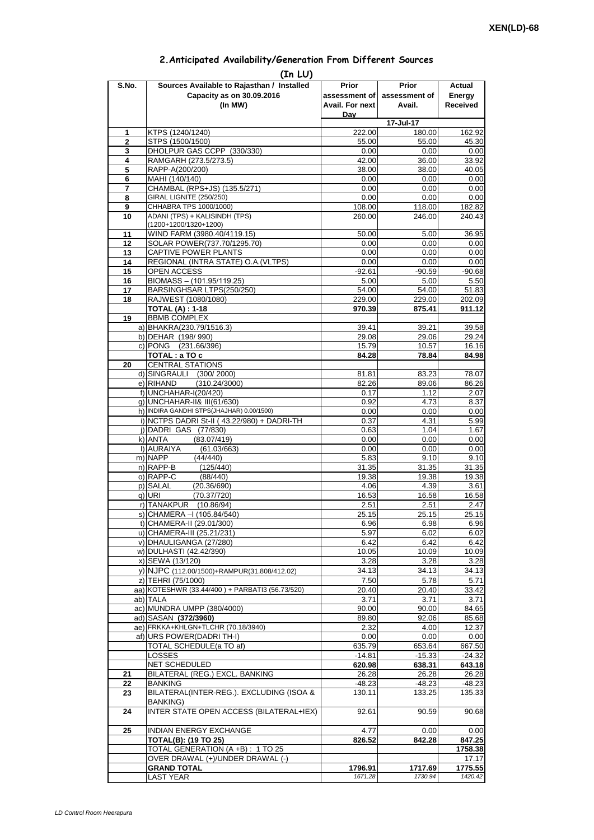| 2. Anticipated Availability/Generation From Different Sources |  |  |  |
|---------------------------------------------------------------|--|--|--|
|                                                               |  |  |  |

| S.No.               | (In LU)<br>Sources Available to Rajasthan / Installed            | Prior            | <b>Prior</b>     | Actual            |
|---------------------|------------------------------------------------------------------|------------------|------------------|-------------------|
|                     | Capacity as on 30.09.2016                                        | assessment of    | assessment of    | Energy            |
|                     | (In MW)                                                          | Avail. For next  | Avail.           | <b>Received</b>   |
|                     |                                                                  | Day              |                  |                   |
|                     |                                                                  |                  | 17-Jul-17        |                   |
| 1<br>$\overline{2}$ | KTPS (1240/1240)<br>STPS (1500/1500)                             | 222.00<br>55.00  | 180.00<br>55.00  | 162.92<br>45.30   |
| 3                   | DHOLPUR GAS CCPP (330/330)                                       | 0.00             | 0.00             | 0.00              |
| 4                   | RAMGARH (273.5/273.5)                                            | 42.00            | 36.00            | 33.92             |
| 5                   | RAPP-A(200/200)                                                  | 38.00            | 38.00            | 40.05             |
| 6                   | MAHI (140/140)                                                   | 0.00             | 0.00             | 0.00              |
| 7                   | CHAMBAL (RPS+JS) (135.5/271)                                     | 0.00             | 0.00             | 0.00              |
| 8                   | GIRAL LIGNITE (250/250)                                          | 0.00             | 0.00             | 0.00              |
| 9<br>10             | CHHABRA TPS 1000/1000)<br>ADANI (TPS) + KALISINDH (TPS)          | 108.00<br>260.00 | 118.00<br>246.00 | 182.82<br>240.43  |
|                     | (1200+1200/1320+1200)                                            |                  |                  |                   |
| 11                  | WIND FARM (3980.40/4119.15)                                      | 50.00            | 5.00             | 36.95             |
| 12                  | SOLAR POWER(737.70/1295.70)                                      | 0.00             | 0.00             | 0.00              |
| 13                  | CAPTIVE POWER PLANTS                                             | 0.00             | 0.00             | 0.00              |
| 14                  | REGIONAL (INTRA STATE) O.A. (VLTPS)                              | 0.00             | 0.00             | 0.00              |
| 15                  | OPEN ACCESS                                                      | $-92.61$         | $-90.59$         | $-90.68$          |
| 16<br>17            | BIOMASS - (101.95/119.25)<br>BARSINGHSAR LTPS(250/250)           | 5.00<br>54.00    | 5.00<br>54.00    | 5.50<br>51.83     |
| 18                  | RAJWEST (1080/1080)                                              | 229.00           | 229.00           | 202.09            |
|                     | <b>TOTAL (A): 1-18</b>                                           | 970.39           | 875.41           | 911.12            |
| 19                  | <b>BBMB COMPLEX</b>                                              |                  |                  |                   |
|                     | a) BHAKRA(230.79/1516.3)                                         | 39.41            | 39.21            | 39.58             |
|                     | b) DEHAR (198/990)                                               | 29.08            | 29.06            | 29.24             |
|                     | c) PONG (231.66/396)                                             | 15.79            | 10.57            | 16.16             |
|                     | TOTAL: a TO c<br><b>CENTRAL STATIONS</b>                         | 84.28            | 78.84            | 84.98             |
| 20                  | d) SINGRAULI<br>(300/2000)                                       | 81.81            | 83.23            | 78.07             |
|                     | e) RIHAND<br>(310.24/3000)                                       | 82.26            | 89.06            | 86.26             |
|                     | f) UNCHAHAR-I(20/420)                                            | 0.17             | 1.12             | 2.07              |
|                     | q) UNCHAHAR-II& III(61/630)                                      | 0.92             | 4.73             | 8.37              |
|                     | h) INDIRA GANDHI STPS(JHAJHAR) 0.00/1500)                        | 0.00             | 0.00             | 0.00              |
|                     | i) NCTPS DADRI St-II (43.22/980) + DADRI-TH                      | 0.37             | 4.31             | 5.99              |
|                     | j) DADRI GAS (77/830)                                            | 0.63             | 1.04             | 1.67              |
|                     | k) ANTA<br>(83.07/419)<br>I) AURAIYA                             | 0.00             | 0.00             | 0.00              |
|                     | (61.03/663)<br>m) NAPP<br>(44/440)                               | 0.00<br>5.83     | 0.00<br>9.10     | 0.00<br>9.10      |
|                     | n) RAPP-B<br>(125/440)                                           | 31.35            | 31.35            | 31.35             |
|                     | o) RAPP-C<br>(88/440)                                            | 19.38            | 19.38            | 19.38             |
|                     | p) SALAL<br>(20.36/690)                                          | 4.06             | 4.39             | 3.61              |
|                     | (70.37/720)<br>q) URI                                            | 16.53            | 16.58            | 16.58             |
|                     | r) TANAKPUR<br>(10.86/94)                                        | 2.51             | 2.51             | 2.47              |
|                     | S) CHAMERA –I (105.84/540)                                       | 25.15            | 25.15            | 25.15             |
|                     | t) CHAMERA-II (29.01/300)                                        | 6.96             | 6.98             | 6.96              |
|                     | u) CHAMERA-III (25.21/231)<br>v) DHAULIGANGA (27/280)            | 5.97<br>6.42     | 6.02<br>6.42     | 6.02<br>6.42      |
|                     | w) DULHASTI (42.42/390)                                          | 10.05            | 10.09            | 10.09             |
|                     | x) SEWA (13/120)                                                 | 3.28             | 3.28             | 3.28              |
|                     | y) NJPC (112.00/1500)+RAMPUR(31.808/412.02)                      | 34.13            | 34.13            | 34.13             |
|                     | z) TEHRI (75/1000)                                               | 7.50             | 5.78             | 5.71              |
|                     | aa) KOTESHWR (33.44/400) + PARBATI3 (56.73/520)                  | 20.40            | 20.40            | 33.42             |
|                     | ab) TALA                                                         | 3.71             | 3.71             | 3.71              |
|                     | ac) MUNDRA UMPP (380/4000)<br>ad) SASAN (372/3960)               | 90.00            | 90.00            | 84.65             |
|                     | ae) FRKKA+KHLGN+TLCHR (70.18/3940)                               | 89.80<br>2.32    | 92.06<br>4.00    | 85.68<br>12.37    |
|                     | af) URS POWER(DADRI TH-I)                                        | 0.00             | 0.00             | 0.00              |
|                     | TOTAL SCHEDULE(a TO af)                                          | 635.79           | 653.64           | 667.50            |
|                     | <b>LOSSES</b>                                                    | $-14.81$         | $-15.33$         | $-24.32$          |
|                     | NET SCHEDULED                                                    | 620.98           | 638.31           | 643.18            |
| 21                  | BILATERAL (REG.) EXCL. BANKING                                   | 26.28            | 26.28            | 26.28             |
| 22                  | <b>BANKING</b>                                                   | $-48.23$         | $-48.23$         | $-48.23$          |
| 23                  | BILATERAL(INTER-REG.). EXCLUDING (ISOA &<br><b>BANKING)</b>      | 130.11           | 133.25           | 135.33            |
| 24                  | INTER STATE OPEN ACCESS (BILATERAL+IEX)                          | 92.61            | 90.59            | 90.68             |
|                     |                                                                  |                  |                  |                   |
| 25                  | INDIAN ENERGY EXCHANGE                                           | 4.77             | 0.00             | 0.00              |
|                     | <b>TOTAL(B): (19 TO 25)</b><br>TOTAL GENERATION (A +B) : 1 TO 25 | 826.52           | 842.28           | 847.25<br>1758.38 |
|                     | OVER DRAWAL (+)/UNDER DRAWAL (-)                                 |                  |                  | 17.17             |
|                     | <b>GRAND TOTAL</b>                                               | 1796.91          | 1717.69          | 1775.55           |
|                     | <b>LAST YEAR</b>                                                 | 1671.28          | 1730.94          | 1420.42           |